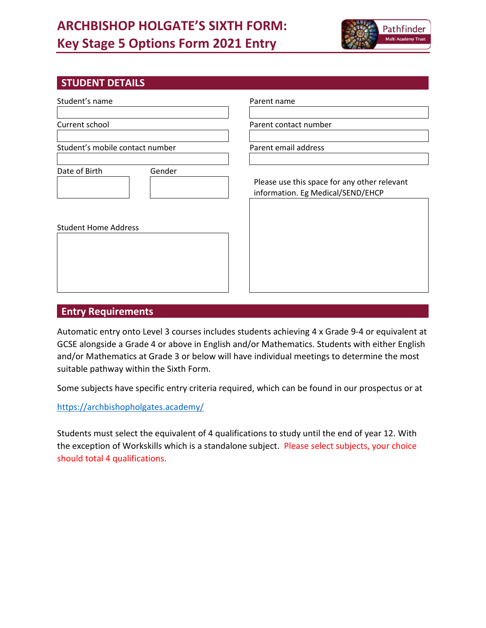# **ARCHBISHOP HOLGATE'S SIXTH FORM: Key Stage 5 Options Form 2021 Entry**



# **STUDENT DETAILS**

| Student's name                  | Parent name                                                                       |
|---------------------------------|-----------------------------------------------------------------------------------|
| Current school                  | Parent contact number                                                             |
| Student's mobile contact number | Parent email address                                                              |
| Date of Birth<br>Gender         | Please use this space for any other relevant<br>information. Eg Medical/SEND/EHCP |
| <b>Student Home Address</b>     |                                                                                   |

## **Entry Requirements**

Automatic entry onto Level 3 courses includes students achieving 4 x Grade 9-4 or equivalent at GCSE alongside a Grade 4 or above in English and/or Mathematics. Students with either English and/or Mathematics at Grade 3 or below will have individual meetings to determine the most suitable pathway within the Sixth Form.

Some subjects have specific entry criteria required, which can be found in our prospectus or at

<https://archbishopholgates.academy/>

Students must select the equivalent of 4 qualifications to study until the end of year 12. With the exception of Workskills which is a standalone subject. Please select subjects, your choice should total 4 qualifications.